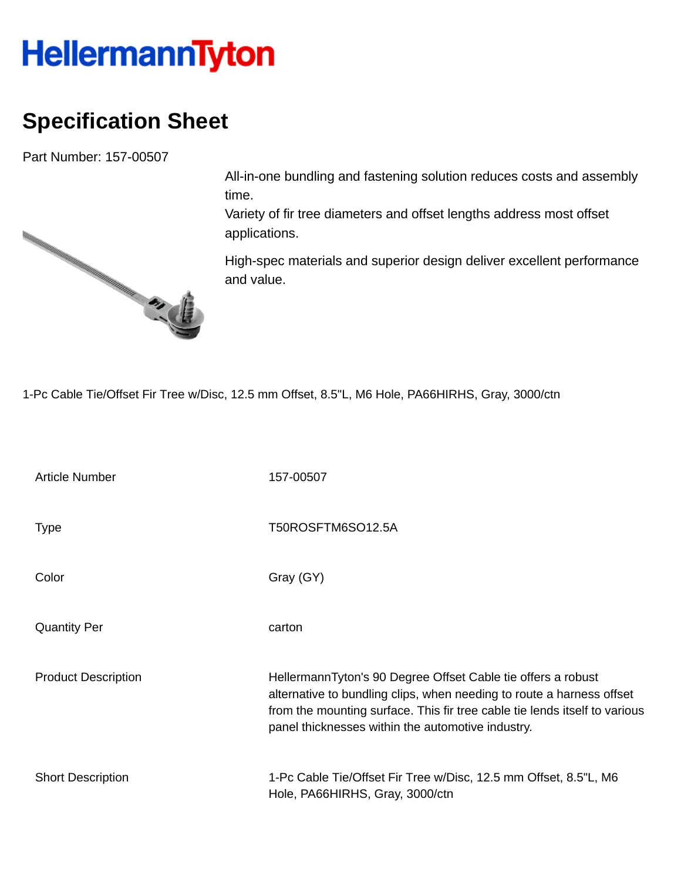## **HellermannTyton**

## **Specification Sheet**

Part Number: 157-00507



All-in-one bundling and fastening solution reduces costs and assembly time.

Variety of fir tree diameters and offset lengths address most offset applications.

High-spec materials and superior design deliver excellent performance and value.

1-Pc Cable Tie/Offset Fir Tree w/Disc, 12.5 mm Offset, 8.5"L, M6 Hole, PA66HIRHS, Gray, 3000/ctn

| <b>Article Number</b>      | 157-00507                                                                                                                                                                                                                                                                |
|----------------------------|--------------------------------------------------------------------------------------------------------------------------------------------------------------------------------------------------------------------------------------------------------------------------|
| <b>Type</b>                | T50ROSFTM6SO12.5A                                                                                                                                                                                                                                                        |
| Color                      | Gray (GY)                                                                                                                                                                                                                                                                |
| <b>Quantity Per</b>        | carton                                                                                                                                                                                                                                                                   |
| <b>Product Description</b> | HellermannTyton's 90 Degree Offset Cable tie offers a robust<br>alternative to bundling clips, when needing to route a harness offset<br>from the mounting surface. This fir tree cable tie lends itself to various<br>panel thicknesses within the automotive industry. |
| <b>Short Description</b>   | 1-Pc Cable Tie/Offset Fir Tree w/Disc, 12.5 mm Offset, 8.5"L, M6<br>Hole, PA66HIRHS, Gray, 3000/ctn                                                                                                                                                                      |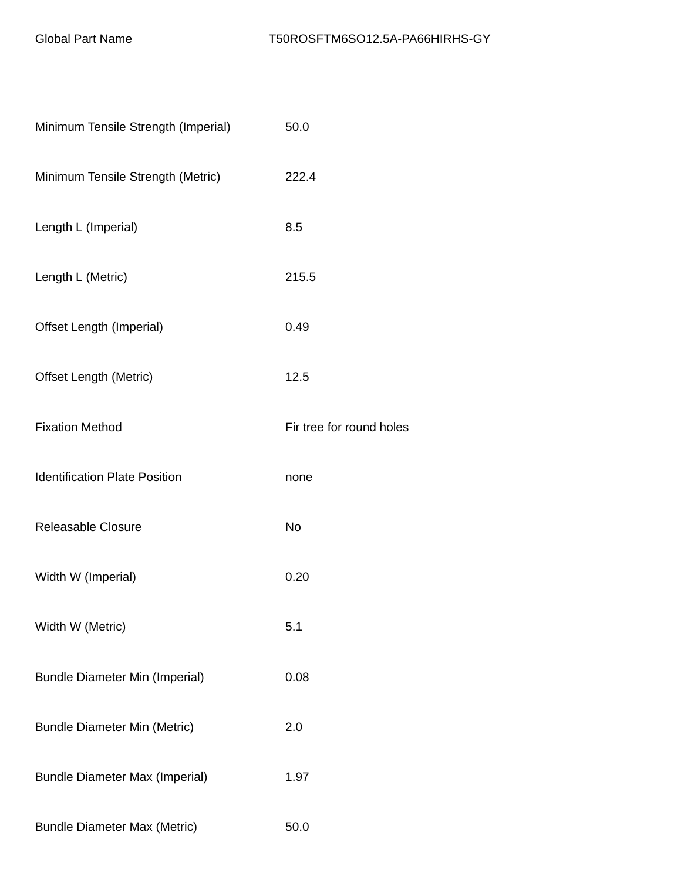| Minimum Tensile Strength (Imperial)   | 50.0                     |
|---------------------------------------|--------------------------|
| Minimum Tensile Strength (Metric)     | 222.4                    |
| Length L (Imperial)                   | 8.5                      |
| Length L (Metric)                     | 215.5                    |
| Offset Length (Imperial)              | 0.49                     |
| <b>Offset Length (Metric)</b>         | 12.5                     |
| <b>Fixation Method</b>                | Fir tree for round holes |
| <b>Identification Plate Position</b>  | none                     |
| <b>Releasable Closure</b>             | No                       |
| Width W (Imperial)                    | 0.20                     |
| Width W (Metric)                      | 5.1                      |
| <b>Bundle Diameter Min (Imperial)</b> | 0.08                     |
| <b>Bundle Diameter Min (Metric)</b>   | 2.0                      |
| <b>Bundle Diameter Max (Imperial)</b> | 1.97                     |
| <b>Bundle Diameter Max (Metric)</b>   | 50.0                     |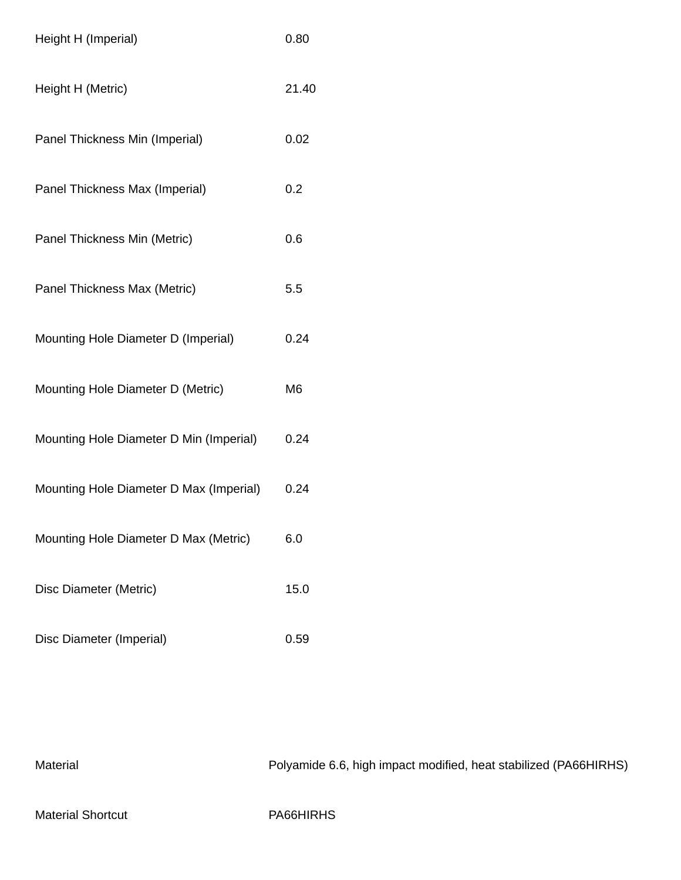| Height H (Imperial)                     | 0.80           |
|-----------------------------------------|----------------|
| Height H (Metric)                       | 21.40          |
| Panel Thickness Min (Imperial)          | 0.02           |
| Panel Thickness Max (Imperial)          | 0.2            |
| Panel Thickness Min (Metric)            | 0.6            |
| Panel Thickness Max (Metric)            | 5.5            |
| Mounting Hole Diameter D (Imperial)     | 0.24           |
| Mounting Hole Diameter D (Metric)       | M <sub>6</sub> |
| Mounting Hole Diameter D Min (Imperial) | 0.24           |
| Mounting Hole Diameter D Max (Imperial) | 0.24           |
| Mounting Hole Diameter D Max (Metric)   | 6.0            |
| Disc Diameter (Metric)                  | 15.0           |
| Disc Diameter (Imperial)                | 0.59           |

Material Material Polyamide 6.6, high impact modified, heat stabilized (PA66HIRHS) Material Shortcut **PA66HIRHS**